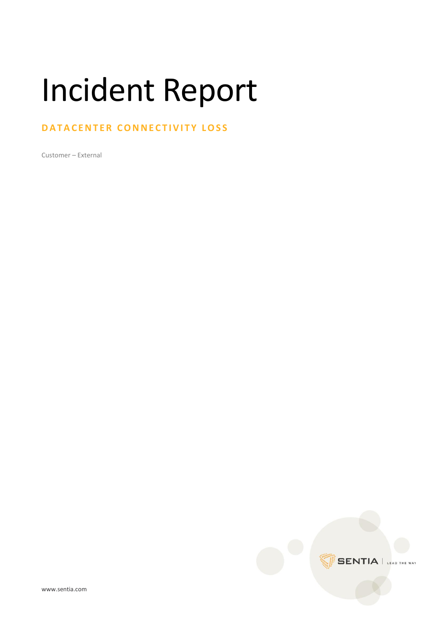## Incident Report

## **DATACENTER CONNECTIVITY LOSS**

Customer – External

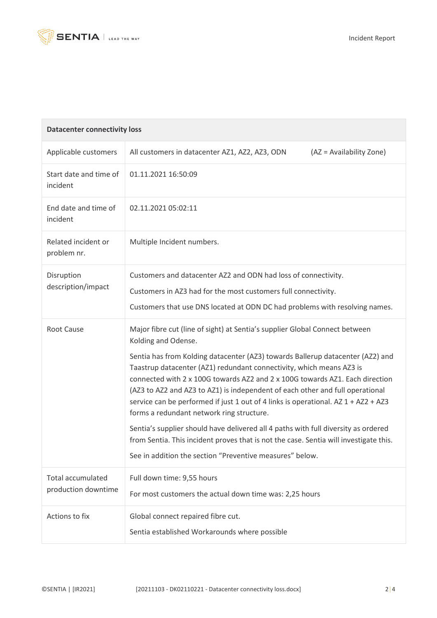

| <b>Datacenter connectivity loss</b>             |                                                                                                                                                                                                                                                                                                                                                                                                                                                                                                                                                                                                                                                                                                                                                                                                             |  |
|-------------------------------------------------|-------------------------------------------------------------------------------------------------------------------------------------------------------------------------------------------------------------------------------------------------------------------------------------------------------------------------------------------------------------------------------------------------------------------------------------------------------------------------------------------------------------------------------------------------------------------------------------------------------------------------------------------------------------------------------------------------------------------------------------------------------------------------------------------------------------|--|
| Applicable customers                            | All customers in datacenter AZ1, AZ2, AZ3, ODN<br>(AZ = Availability Zone)                                                                                                                                                                                                                                                                                                                                                                                                                                                                                                                                                                                                                                                                                                                                  |  |
| Start date and time of<br>incident              | 01.11.2021 16:50:09                                                                                                                                                                                                                                                                                                                                                                                                                                                                                                                                                                                                                                                                                                                                                                                         |  |
| End date and time of<br>incident                | 02.11.2021 05:02:11                                                                                                                                                                                                                                                                                                                                                                                                                                                                                                                                                                                                                                                                                                                                                                                         |  |
| Related incident or<br>problem nr.              | Multiple Incident numbers.                                                                                                                                                                                                                                                                                                                                                                                                                                                                                                                                                                                                                                                                                                                                                                                  |  |
| Disruption<br>description/impact                | Customers and datacenter AZ2 and ODN had loss of connectivity.<br>Customers in AZ3 had for the most customers full connectivity.<br>Customers that use DNS located at ODN DC had problems with resolving names.                                                                                                                                                                                                                                                                                                                                                                                                                                                                                                                                                                                             |  |
| <b>Root Cause</b>                               | Major fibre cut (line of sight) at Sentia's supplier Global Connect between<br>Kolding and Odense.<br>Sentia has from Kolding datacenter (AZ3) towards Ballerup datacenter (AZ2) and<br>Taastrup datacenter (AZ1) redundant connectivity, which means AZ3 is<br>connected with 2 x 100G towards AZ2 and 2 x 100G towards AZ1. Each direction<br>(AZ3 to AZ2 and AZ3 to AZ1) is independent of each other and full operational<br>service can be performed if just 1 out of 4 links is operational. AZ 1 + AZ2 + AZ3<br>forms a redundant network ring structure.<br>Sentia's supplier should have delivered all 4 paths with full diversity as ordered<br>from Sentia. This incident proves that is not the case. Sentia will investigate this.<br>See in addition the section "Preventive measures" below. |  |
| <b>Total accumulated</b><br>production downtime | Full down time: 9,55 hours<br>For most customers the actual down time was: 2,25 hours                                                                                                                                                                                                                                                                                                                                                                                                                                                                                                                                                                                                                                                                                                                       |  |
| Actions to fix                                  | Global connect repaired fibre cut.<br>Sentia established Workarounds where possible                                                                                                                                                                                                                                                                                                                                                                                                                                                                                                                                                                                                                                                                                                                         |  |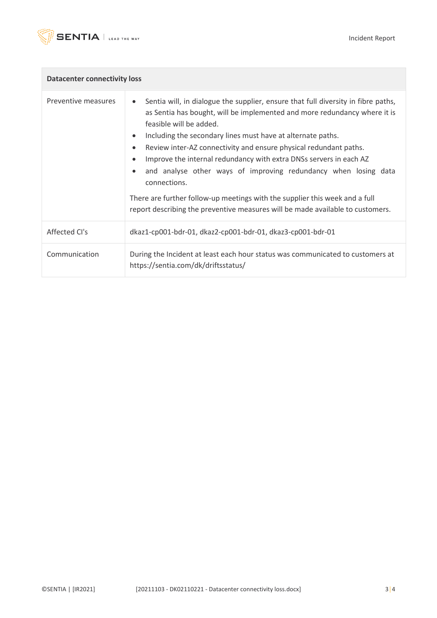

 $\mathcal{C}$ 

| <b>Datacenter connectivity loss</b> |                                                                                                                                                                                                                                                                                                                                                                                                                                                                                                                                                                                                                                                         |  |
|-------------------------------------|---------------------------------------------------------------------------------------------------------------------------------------------------------------------------------------------------------------------------------------------------------------------------------------------------------------------------------------------------------------------------------------------------------------------------------------------------------------------------------------------------------------------------------------------------------------------------------------------------------------------------------------------------------|--|
| Preventive measures                 | Sentia will, in dialogue the supplier, ensure that full diversity in fibre paths,<br>as Sentia has bought, will be implemented and more redundancy where it is<br>feasible will be added.<br>Including the secondary lines must have at alternate paths.<br>Review inter-AZ connectivity and ensure physical redundant paths.<br>Improve the internal redundancy with extra DNSs servers in each AZ<br>and analyse other ways of improving redundancy when losing data<br>connections.<br>There are further follow-up meetings with the supplier this week and a full<br>report describing the preventive measures will be made available to customers. |  |
|                                     |                                                                                                                                                                                                                                                                                                                                                                                                                                                                                                                                                                                                                                                         |  |
| Affected CI's                       | dkaz1-cp001-bdr-01, dkaz2-cp001-bdr-01, dkaz3-cp001-bdr-01                                                                                                                                                                                                                                                                                                                                                                                                                                                                                                                                                                                              |  |
| Communication                       | During the Incident at least each hour status was communicated to customers at<br>https://sentia.com/dk/driftsstatus/                                                                                                                                                                                                                                                                                                                                                                                                                                                                                                                                   |  |